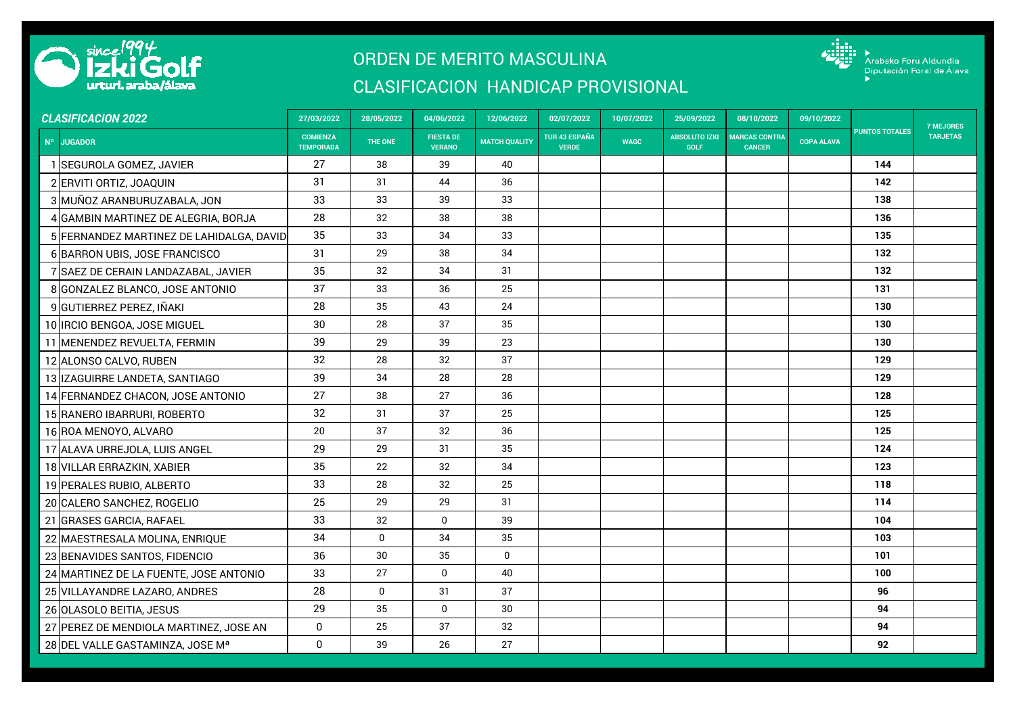

## ORDEN DE MERITO MASCULINA

## CLASIFICACION HANDICAP PROVISIONAL



▶<br>Arabako Foru Aldundia<br>Diputación Foral de Álava

| <b>CLASIFICACION 2022</b> |                                          | 27/03/2022                          | 28/05/2022  | 04/06/2022                        | 12/06/2022           | 02/07/2022                    | 10/07/2022  | 25/09/2022                          | 08/10/2022                            | 09/10/2022        |                       | <b>7 MEJORES</b> |
|---------------------------|------------------------------------------|-------------------------------------|-------------|-----------------------------------|----------------------|-------------------------------|-------------|-------------------------------------|---------------------------------------|-------------------|-----------------------|------------------|
|                           | Nº JUGADOR                               | <b>COMIENZA</b><br><b>TEMPORADA</b> | THE ONE     | <b>FIESTA DE</b><br><b>VERANO</b> | <b>MATCH QUALITY</b> | TUR 43 ESPAÑA<br><b>VERDE</b> | <b>WAGC</b> | <b>ABSOLUTO IZKI</b><br><b>GOLF</b> | <b>MARCAS CONTRA</b><br><b>CANCER</b> | <b>COPA ALAVA</b> | <b>PUNTOS TOTALES</b> | <b>TARJETAS</b>  |
|                           | 1 SEGUROLA GOMEZ, JAVIER                 | 27                                  | 38          | 39                                | 40                   |                               |             |                                     |                                       |                   | 144                   |                  |
|                           | 2 ERVITI ORTIZ, JOAQUIN                  | 31                                  | 31          | 44                                | 36                   |                               |             |                                     |                                       |                   | 142                   |                  |
|                           | 3 MUÑOZ ARANBURUZABALA, JON              | 33                                  | 33          | 39                                | 33                   |                               |             |                                     |                                       |                   | 138                   |                  |
|                           | 4 GAMBIN MARTINEZ DE ALEGRIA, BORJA      | 28                                  | 32          | 38                                | 38                   |                               |             |                                     |                                       |                   | 136                   |                  |
|                           | 5 FERNANDEZ MARTINEZ DE LAHIDALGA, DAVID | 35                                  | 33          | 34                                | 33                   |                               |             |                                     |                                       |                   | 135                   |                  |
|                           | 6 BARRON UBIS, JOSE FRANCISCO            | 31                                  | 29          | 38                                | 34                   |                               |             |                                     |                                       |                   | 132                   |                  |
|                           | 7 SAEZ DE CERAIN LANDAZABAL, JAVIER      | 35                                  | 32          | 34                                | 31                   |                               |             |                                     |                                       |                   | 132                   |                  |
|                           | 8 GONZALEZ BLANCO, JOSE ANTONIO          | 37                                  | 33          | 36                                | 25                   |                               |             |                                     |                                       |                   | 131                   |                  |
|                           | 9 GUTIERREZ PEREZ, IÑAKI                 | 28                                  | 35          | 43                                | 24                   |                               |             |                                     |                                       |                   | 130                   |                  |
|                           | 10   IRCIO BENGOA, JOSE MIGUEL           | 30                                  | 28          | 37                                | 35                   |                               |             |                                     |                                       |                   | 130                   |                  |
|                           | 11 MENENDEZ REVUELTA, FERMIN             | 39                                  | 29          | 39                                | 23                   |                               |             |                                     |                                       |                   | 130                   |                  |
|                           | 12 ALONSO CALVO, RUBEN                   | 32                                  | 28          | 32                                | 37                   |                               |             |                                     |                                       |                   | 129                   |                  |
|                           | 13 IZAGUIRRE LANDETA, SANTIAGO           | 39                                  | 34          | 28                                | 28                   |                               |             |                                     |                                       |                   | 129                   |                  |
|                           | 14 FERNANDEZ CHACON, JOSE ANTONIO        | 27                                  | 38          | 27                                | 36                   |                               |             |                                     |                                       |                   | 128                   |                  |
|                           | 15 RANERO IBARRURI, ROBERTO              | 32                                  | 31          | 37                                | 25                   |                               |             |                                     |                                       |                   | 125                   |                  |
|                           | 16 ROA MENOYO, ALVARO                    | 20                                  | 37          | 32                                | 36                   |                               |             |                                     |                                       |                   | 125                   |                  |
|                           | 17 ALAVA URREJOLA, LUIS ANGEL            | 29                                  | 29          | 31                                | 35                   |                               |             |                                     |                                       |                   | 124                   |                  |
|                           | 18 VILLAR ERRAZKIN, XABIER               | 35                                  | 22          | 32                                | 34                   |                               |             |                                     |                                       |                   | 123                   |                  |
|                           | 19 PERALES RUBIO, ALBERTO                | 33                                  | 28          | 32                                | 25                   |                               |             |                                     |                                       |                   | 118                   |                  |
|                           | 20 CALERO SANCHEZ, ROGELIO               | 25                                  | 29          | 29                                | 31                   |                               |             |                                     |                                       |                   | 114                   |                  |
|                           | 21 GRASES GARCIA, RAFAEL                 | 33                                  | 32          | $\mathbf 0$                       | 39                   |                               |             |                                     |                                       |                   | 104                   |                  |
|                           | 22 MAESTRESALA MOLINA, ENRIQUE           | 34                                  | $\mathbf 0$ | 34                                | 35                   |                               |             |                                     |                                       |                   | 103                   |                  |
|                           | 23 BENAVIDES SANTOS, FIDENCIO            | 36                                  | 30          | 35                                | $\mathbf 0$          |                               |             |                                     |                                       |                   | 101                   |                  |
|                           | 24 MARTINEZ DE LA FUENTE, JOSE ANTONIO   | 33                                  | 27          | $\mathbf{0}$                      | 40                   |                               |             |                                     |                                       |                   | 100                   |                  |
|                           | 25 VILLAYANDRE LAZARO, ANDRES            | 28                                  | $\mathbf 0$ | 31                                | 37                   |                               |             |                                     |                                       |                   | 96                    |                  |
|                           | 26 OLASOLO BEITIA, JESUS                 | 29                                  | 35          | $\mathbf 0$                       | 30                   |                               |             |                                     |                                       |                   | 94                    |                  |
|                           | 27 PEREZ DE MENDIOLA MARTINEZ, JOSE AN   | $\mathbf 0$                         | 25          | 37                                | 32                   |                               |             |                                     |                                       |                   | 94                    |                  |
|                           | 28 DEL VALLE GASTAMINZA, JOSE Mª         | 0                                   | 39          | 26                                | 27                   |                               |             |                                     |                                       |                   | 92                    |                  |